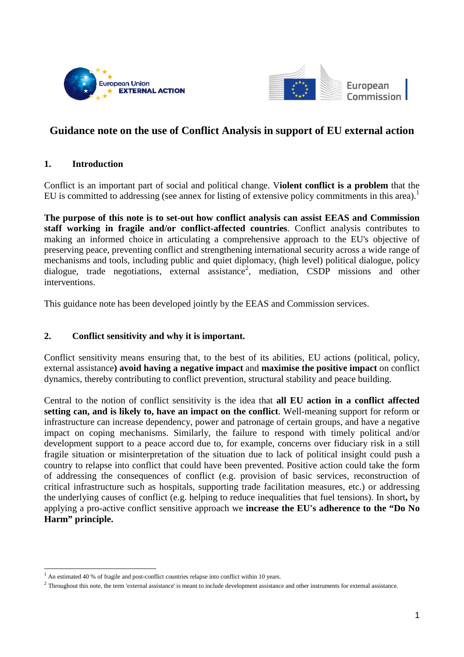



## **Guidance note on the use of Conflict Analysis in support of EU external action**

## **1. Introduction**

Conflict is an important part of social and political change. V**iolent conflict is a problem** that the EU is committed to addressing (see annex for listing of extensive policy commitments in this area).<sup>1</sup>

**The purpose of this note is to set-out how conflict analysis can assist EEAS and Commission staff working in fragile and/or conflict-affected countries**. Conflict analysis contributes to making an informed choice in articulating a comprehensive approach to the EU's objective of preserving peace, preventing conflict and strengthening international security across a wide range of mechanisms and tools, including public and quiet diplomacy, (high level) political dialogue, policy dialogue, trade negotiations, external assistance<sup>2</sup>, mediation, CSDP missions and other interventions.

This guidance note has been developed jointly by the EEAS and Commission services.

## **2. Conflict sensitivity and why it is important.**

Conflict sensitivity means ensuring that, to the best of its abilities, EU actions (political, policy, external assistance**) avoid having a negative impact** and **maximise the positive impact** on conflict dynamics, thereby contributing to conflict prevention, structural stability and peace building.

Central to the notion of conflict sensitivity is the idea that **all EU action in a conflict affected setting can, and is likely to, have an impact on the conflict**. Well-meaning support for reform or infrastructure can increase dependency, power and patronage of certain groups, and have a negative impact on coping mechanisms. Similarly, the failure to respond with timely political and/or development support to a peace accord due to, for example, concerns over fiduciary risk in a still fragile situation or misinterpretation of the situation due to lack of political insight could push a country to relapse into conflict that could have been prevented. Positive action could take the form of addressing the consequences of conflict (e.g. provision of basic services, reconstruction of critical infrastructure such as hospitals, supporting trade facilitation measures, etc.) or addressing the underlying causes of conflict (e.g. helping to reduce inequalities that fuel tensions). In short**,** by applying a pro-active conflict sensitive approach we **increase the EU's adherence to the "Do No Harm" principle.** 

<sup>1</sup> An estimated 40 % of fragile and post-conflict countries relapse into conflict within 10 years.

 $<sup>2</sup>$  Throughout this note, the term 'external assistance' is meant to include development assistance and other instruments for external assistance.</sup>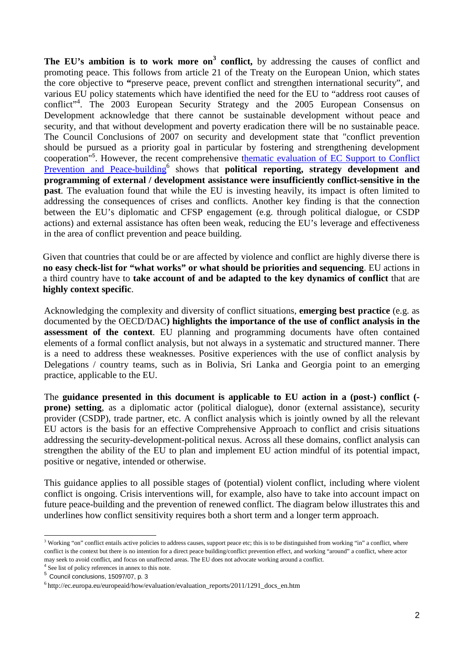The EU's ambition is to work more on<sup>3</sup> conflict, by addressing the causes of conflict and promoting peace. This follows from article 21 of the Treaty on the European Union, which states the core objective to **"**preserve peace, prevent conflict and strengthen international security", and various EU policy statements which have identified the need for the EU to "address root causes of conflict"<sup>4</sup>. The 2003 European Security Strategy and the 2005 European Consensus on Development acknowledge that there cannot be sustainable development without peace and security, and that without development and poverty eradication there will be no sustainable peace. The Council Conclusions of 2007 on security and development state that "conflict prevention should be pursued as a priority goal in particular by fostering and strengthening development cooperation<sup>"5</sup>. However, the recent comprehensive thematic evaluation of EC Support to Conflict Prevention and Peace-building<sup>6</sup> shows that **political reporting, strategy development and programming of external / development assistance were insufficiently conflict-sensitive in the past**. The evaluation found that while the EU is investing heavily, its impact is often limited to addressing the consequences of crises and conflicts. Another key finding is that the connection between the EU's diplomatic and CFSP engagement (e.g. through political dialogue, or CSDP actions) and external assistance has often been weak, reducing the EU's leverage and effectiveness in the area of conflict prevention and peace building.

Given that countries that could be or are affected by violence and conflict are highly diverse there is **no easy check-list for "what works" or what should be priorities and sequencing**. EU actions in a third country have to **take account of and be adapted to the key dynamics of conflict** that are **highly context specific**.

Acknowledging the complexity and diversity of conflict situations, **emerging best practice** (e.g. as documented by the OECD/DAC**) highlights the importance of the use of conflict analysis in the assessment of the context**. EU planning and programming documents have often contained elements of a formal conflict analysis, but not always in a systematic and structured manner. There is a need to address these weaknesses. Positive experiences with the use of conflict analysis by Delegations / country teams, such as in Bolivia, Sri Lanka and Georgia point to an emerging practice, applicable to the EU.

The **guidance presented in this document is applicable to EU action in a (post-) conflict ( prone) setting**, as a diplomatic actor (political dialogue), donor (external assistance), security provider (CSDP), trade partner, etc. A conflict analysis which is jointly owned by all the relevant EU actors is the basis for an effective Comprehensive Approach to conflict and crisis situations addressing the security-development-political nexus. Across all these domains, conflict analysis can strengthen the ability of the EU to plan and implement EU action mindful of its potential impact, positive or negative, intended or otherwise.

This guidance applies to all possible stages of (potential) violent conflict, including where violent conflict is ongoing. Crisis interventions will, for example, also have to take into account impact on future peace-building and the prevention of renewed conflict. The diagram below illustrates this and underlines how conflict sensitivity requires both a short term and a longer term approach.

<sup>&</sup>lt;sup>3</sup> Working "on" conflict entails active policies to address causes, support peace etc; this is to be distinguished from working "in" a conflict, where conflict is the context but there is no intention for a direct peace building/conflict prevention effect, and working "around" a conflict, where actor may seek to avoid conflict, and focus on unaffected areas. The EU does not advocate working around a conflict.

<sup>4</sup> See list of policy references in annex to this note.

 $<sup>5</sup>$  Council conclusions, 15097/07, p. 3</sup>

 $6$ http://ec.europa.eu/europeaid/how/evaluation/evaluation\_reports/2011/1291\_docs\_en.htm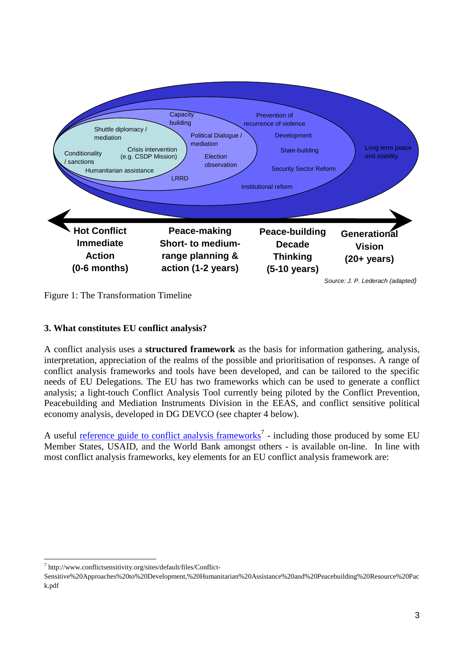

Figure 1: The Transformation Timeline

# **3. What constitutes EU conflict analysis?**

A conflict analysis uses a **structured framework** as the basis for information gathering, analysis, interpretation, appreciation of the realms of the possible and prioritisation of responses. A range of conflict analysis frameworks and tools have been developed, and can be tailored to the specific needs of EU Delegations. The EU has two frameworks which can be used to generate a conflict analysis; a light-touch Conflict Analysis Tool currently being piloted by the Conflict Prevention, Peacebuilding and Mediation Instruments Division in the EEAS, and conflict sensitive political economy analysis, developed in DG DEVCO (see chapter 4 below).

A useful <u>reference guide to conflict analysis frameworks</u><sup>7</sup> - including those produced by some EU Member States, USAID, and the World Bank amongst others - is available on-line. In line with most conflict analysis frameworks, key elements for an EU conflict analysis framework are:

 $\overline{a}$ 7 http://www.conflictsensitivity.org/sites/default/files/Conflict-

Sensitive%20Approaches%20to%20Development,%20Humanitarian%20Assistance%20and%20Peacebuilding%20Resource%20Pac k.pdf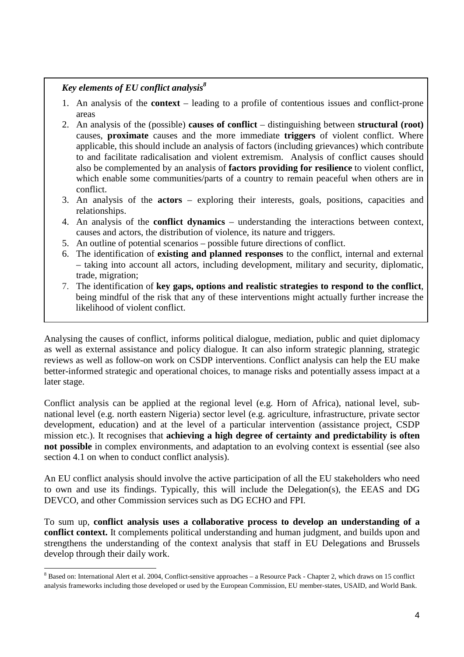# *Key elements of EU conflict analysis<sup>8</sup>*

- 1. An analysis of the **context** leading to a profile of contentious issues and conflict-prone areas
- 2. An analysis of the (possible) **causes of conflict** distinguishing between **structural (root)**  causes, **proximate** causes and the more immediate **triggers** of violent conflict. Where applicable, this should include an analysis of factors (including grievances) which contribute to and facilitate radicalisation and violent extremism. Analysis of conflict causes should also be complemented by an analysis of **factors providing for resilience** to violent conflict, which enable some communities/parts of a country to remain peaceful when others are in conflict.
- 3. An analysis of the **actors** exploring their interests, goals, positions, capacities and relationships.
- 4. An analysis of the **conflict dynamics** understanding the interactions between context, causes and actors, the distribution of violence, its nature and triggers.
- 5. An outline of potential scenarios possible future directions of conflict.
- 6. The identification of **existing and planned responses** to the conflict, internal and external – taking into account all actors, including development, military and security, diplomatic, trade, migration;
- 7. The identification of **key gaps, options and realistic strategies to respond to the conflict**, being mindful of the risk that any of these interventions might actually further increase the likelihood of violent conflict.

Analysing the causes of conflict, informs political dialogue, mediation, public and quiet diplomacy as well as external assistance and policy dialogue. It can also inform strategic planning, strategic reviews as well as follow-on work on CSDP interventions. Conflict analysis can help the EU make better-informed strategic and operational choices, to manage risks and potentially assess impact at a later stage.

Conflict analysis can be applied at the regional level (e.g. Horn of Africa), national level, subnational level (e.g. north eastern Nigeria) sector level (e.g. agriculture, infrastructure, private sector development, education) and at the level of a particular intervention (assistance project, CSDP mission etc.). It recognises that **achieving a high degree of certainty and predictability is often not possible** in complex environments, and adaptation to an evolving context is essential (see also section 4.1 on when to conduct conflict analysis).

An EU conflict analysis should involve the active participation of all the EU stakeholders who need to own and use its findings. Typically, this will include the Delegation(s), the EEAS and DG DEVCO, and other Commission services such as DG ECHO and FPI.

To sum up, **conflict analysis uses a collaborative process to develop an understanding of a conflict context.** It complements political understanding and human judgment, and builds upon and strengthens the understanding of the context analysis that staff in EU Delegations and Brussels develop through their daily work.

<sup>&</sup>lt;sup>8</sup> Based on: International Alert et al. 2004, Conflict-sensitive approaches – a Resource Pack - Chapter 2, which draws on 15 conflict analysis frameworks including those developed or used by the European Commission, EU member-states, USAID, and World Bank.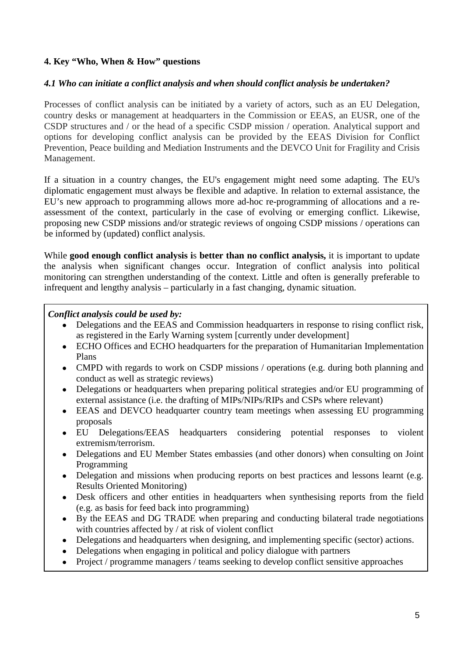## **4. Key "Who, When & How" questions**

### *4.1 Who can initiate a conflict analysis and when should conflict analysis be undertaken?*

Processes of conflict analysis can be initiated by a variety of actors, such as an EU Delegation, country desks or management at headquarters in the Commission or EEAS, an EUSR, one of the CSDP structures and / or the head of a specific CSDP mission / operation. Analytical support and options for developing conflict analysis can be provided by the EEAS Division for Conflict Prevention, Peace building and Mediation Instruments and the DEVCO Unit for Fragility and Crisis Management.

If a situation in a country changes, the EU's engagement might need some adapting. The EU's diplomatic engagement must always be flexible and adaptive. In relation to external assistance, the EU's new approach to programming allows more ad-hoc re-programming of allocations and a reassessment of the context, particularly in the case of evolving or emerging conflict. Likewise, proposing new CSDP missions and/or strategic reviews of ongoing CSDP missions / operations can be informed by (updated) conflict analysis.

While **good enough conflict analysis i**s **better than no conflict analysis,** it is important to update the analysis when significant changes occur. Integration of conflict analysis into political monitoring can strengthen understanding of the context. Little and often is generally preferable to infrequent and lengthy analysis – particularly in a fast changing, dynamic situation.

#### *Conflict analysis could be used by:*

- Delegations and the EEAS and Commission headquarters in response to rising conflict risk, as registered in the Early Warning system [currently under development]
- ECHO Offices and ECHO headquarters for the preparation of Humanitarian Implementation Plans
- CMPD with regards to work on CSDP missions / operations (e.g. during both planning and conduct as well as strategic reviews)
- Delegations or headquarters when preparing political strategies and/or EU programming of external assistance (i.e. the drafting of MIPs/NIPs/RIPs and CSPs where relevant)
- EEAS and DEVCO headquarter country team meetings when assessing EU programming proposals
- EU Delegations/EEAS headquarters considering potential responses to violent extremism/terrorism.
- Delegations and EU Member States embassies (and other donors) when consulting on Joint Programming
- Delegation and missions when producing reports on best practices and lessons learnt (e.g. Results Oriented Monitoring)
- Desk officers and other entities in headquarters when synthesising reports from the field (e.g. as basis for feed back into programming)
- By the EEAS and DG TRADE when preparing and conducting bilateral trade negotiations with countries affected by / at risk of violent conflict
- Delegations and headquarters when designing, and implementing specific (sector) actions.
- Delegations when engaging in political and policy dialogue with partners
- Project / programme managers / teams seeking to develop conflict sensitive approaches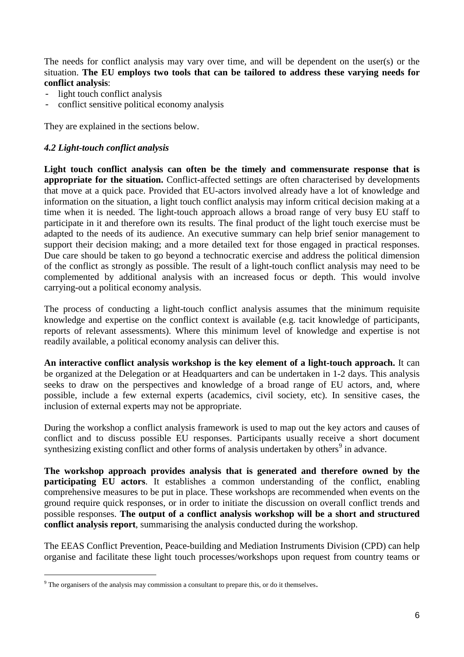The needs for conflict analysis may vary over time, and will be dependent on the user(s) or the situation. **The EU employs two tools that can be tailored to address these varying needs for conflict analysis**:

- light touch conflict analysis
- conflict sensitive political economy analysis

They are explained in the sections below.

#### *4.2 Light-touch conflict analysis*

**Light touch conflict analysis can often be the timely and commensurate response that is appropriate for the situation.** Conflict-affected settings are often characterised by developments that move at a quick pace. Provided that EU-actors involved already have a lot of knowledge and information on the situation, a light touch conflict analysis may inform critical decision making at a time when it is needed. The light-touch approach allows a broad range of very busy EU staff to participate in it and therefore own its results. The final product of the light touch exercise must be adapted to the needs of its audience. An executive summary can help brief senior management to support their decision making; and a more detailed text for those engaged in practical responses. Due care should be taken to go beyond a technocratic exercise and address the political dimension of the conflict as strongly as possible. The result of a light-touch conflict analysis may need to be complemented by additional analysis with an increased focus or depth. This would involve carrying-out a political economy analysis.

The process of conducting a light-touch conflict analysis assumes that the minimum requisite knowledge and expertise on the conflict context is available (e.g. tacit knowledge of participants, reports of relevant assessments). Where this minimum level of knowledge and expertise is not readily available, a political economy analysis can deliver this.

**An interactive conflict analysis workshop is the key element of a light-touch approach.** It can be organized at the Delegation or at Headquarters and can be undertaken in 1-2 days. This analysis seeks to draw on the perspectives and knowledge of a broad range of EU actors, and, where possible, include a few external experts (academics, civil society, etc). In sensitive cases, the inclusion of external experts may not be appropriate.

During the workshop a conflict analysis framework is used to map out the key actors and causes of conflict and to discuss possible EU responses. Participants usually receive a short document synthesizing existing conflict and other forms of analysis undertaken by others<sup>9</sup> in advance.

**The workshop approach provides analysis that is generated and therefore owned by the participating EU actors**. It establishes a common understanding of the conflict, enabling comprehensive measures to be put in place. These workshops are recommended when events on the ground require quick responses, or in order to initiate the discussion on overall conflict trends and possible responses. **The output of a conflict analysis workshop will be a short and structured conflict analysis report**, summarising the analysis conducted during the workshop.

The EEAS Conflict Prevention, Peace-building and Mediation Instruments Division (CPD) can help organise and facilitate these light touch processes/workshops upon request from country teams or

 $\overline{a}$ 

 $9^9$  The organisers of the analysis may commission a consultant to prepare this, or do it themselves.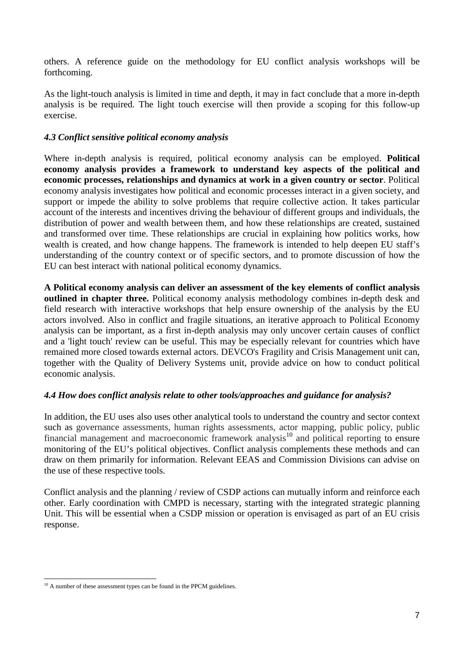others. A reference guide on the methodology for EU conflict analysis workshops will be forthcoming.

As the light-touch analysis is limited in time and depth, it may in fact conclude that a more in-depth analysis is be required. The light touch exercise will then provide a scoping for this follow-up exercise.

## *4.3 Conflict sensitive political economy analysis*

Where in-depth analysis is required, political economy analysis can be employed. **Political economy analysis provides a framework to understand key aspects of the political and economic processes, relationships and dynamics at work in a given country or sector**. Political economy analysis investigates how political and economic processes interact in a given society, and support or impede the ability to solve problems that require collective action. It takes particular account of the interests and incentives driving the behaviour of different groups and individuals, the distribution of power and wealth between them, and how these relationships are created, sustained and transformed over time. These relationships are crucial in explaining how politics works, how wealth is created, and how change happens. The framework is intended to help deepen EU staff's understanding of the country context or of specific sectors, and to promote discussion of how the EU can best interact with national political economy dynamics.

**A Political economy analysis can deliver an assessment of the key elements of conflict analysis outlined in chapter three.** Political economy analysis methodology combines in-depth desk and field research with interactive workshops that help ensure ownership of the analysis by the EU actors involved. Also in conflict and fragile situations, an iterative approach to Political Economy analysis can be important, as a first in-depth analysis may only uncover certain causes of conflict and a 'light touch' review can be useful. This may be especially relevant for countries which have remained more closed towards external actors. DEVCO's Fragility and Crisis Management unit can, together with the Quality of Delivery Systems unit, provide advice on how to conduct political economic analysis.

## *4.4 How does conflict analysis relate to other tools/approaches and guidance for analysis?*

In addition, the EU uses also uses other analytical tools to understand the country and sector context such as governance assessments, human rights assessments, actor mapping, public policy, public financial management and macroeconomic framework analysis<sup>10</sup> and political reporting to ensure monitoring of the EU's political objectives. Conflict analysis complements these methods and can draw on them primarily for information. Relevant EEAS and Commission Divisions can advise on the use of these respective tools.

Conflict analysis and the planning / review of CSDP actions can mutually inform and reinforce each other. Early coordination with CMPD is necessary, starting with the integrated strategic planning Unit. This will be essential when a CSDP mission or operation is envisaged as part of an EU crisis response.

 $\overline{a}$ <sup>10</sup> A number of these assessment types can be found in the PPCM guidelines.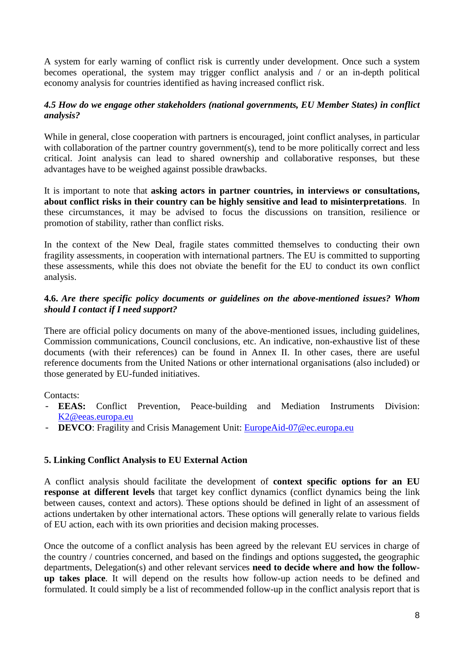A system for early warning of conflict risk is currently under development. Once such a system becomes operational, the system may trigger conflict analysis and / or an in-depth political economy analysis for countries identified as having increased conflict risk.

## *4.5 How do we engage other stakeholders (national governments, EU Member States) in conflict analysis?*

While in general, close cooperation with partners is encouraged, joint conflict analyses, in particular with collaboration of the partner country government(s), tend to be more politically correct and less critical. Joint analysis can lead to shared ownership and collaborative responses, but these advantages have to be weighed against possible drawbacks.

It is important to note that **asking actors in partner countries, in interviews or consultations, about conflict risks in their country can be highly sensitive and lead to misinterpretations**. In these circumstances, it may be advised to focus the discussions on transition, resilience or promotion of stability, rather than conflict risks.

In the context of the New Deal, fragile states committed themselves to conducting their own fragility assessments, in cooperation with international partners. The EU is committed to supporting these assessments, while this does not obviate the benefit for the EU to conduct its own conflict analysis.

## **4.6.** *Are there specific policy documents or guidelines on the above-mentioned issues? Whom should I contact if I need support?*

There are official policy documents on many of the above-mentioned issues, including guidelines, Commission communications, Council conclusions, etc. An indicative, non-exhaustive list of these documents (with their references) can be found in Annex II. In other cases, there are useful reference documents from the United Nations or other international organisations (also included) or those generated by EU-funded initiatives.

Contacts:

- **EEAS:** Conflict Prevention, Peace-building and Mediation Instruments Division: K2@eeas.europa.eu
- **DEVCO**: Fragility and Crisis Management Unit: EuropeAid-07@ec.europa.eu

## **5. Linking Conflict Analysis to EU External Action**

A conflict analysis should facilitate the development of **context specific options for an EU response at different levels** that target key conflict dynamics (conflict dynamics being the link between causes, context and actors). These options should be defined in light of an assessment of actions undertaken by other international actors. These options will generally relate to various fields of EU action, each with its own priorities and decision making processes.

Once the outcome of a conflict analysis has been agreed by the relevant EU services in charge of the country / countries concerned, and based on the findings and options suggested**,** the geographic departments, Delegation(s) and other relevant services **need to decide where and how the followup takes place**. It will depend on the results how follow-up action needs to be defined and formulated. It could simply be a list of recommended follow-up in the conflict analysis report that is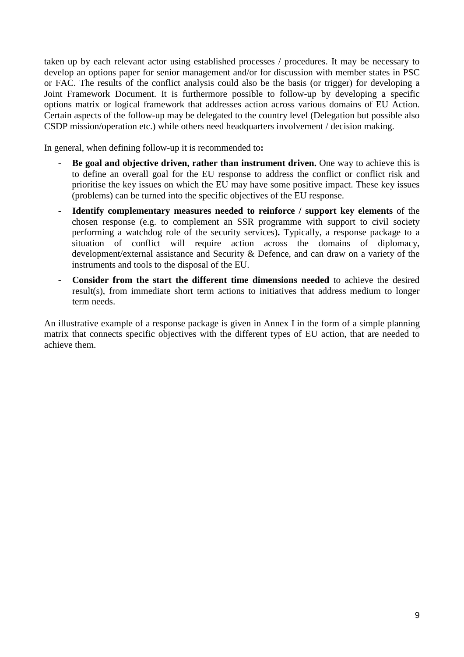taken up by each relevant actor using established processes / procedures. It may be necessary to develop an options paper for senior management and/or for discussion with member states in PSC or FAC. The results of the conflict analysis could also be the basis (or trigger) for developing a Joint Framework Document. It is furthermore possible to follow-up by developing a specific options matrix or logical framework that addresses action across various domains of EU Action. Certain aspects of the follow-up may be delegated to the country level (Delegation but possible also CSDP mission/operation etc.) while others need headquarters involvement / decision making.

In general, when defining follow-up it is recommended to**:** 

- **- Be goal and objective driven, rather than instrument driven.** One way to achieve this is to define an overall goal for the EU response to address the conflict or conflict risk and prioritise the key issues on which the EU may have some positive impact. These key issues (problems) can be turned into the specific objectives of the EU response.
- **- Identify complementary measures needed to reinforce / support key elements** of the chosen response (e.g. to complement an SSR programme with support to civil society performing a watchdog role of the security services)**.** Typically, a response package to a situation of conflict will require action across the domains of diplomacy, development/external assistance and Security & Defence, and can draw on a variety of the instruments and tools to the disposal of the EU.
- **- Consider from the start the different time dimensions needed** to achieve the desired result(s), from immediate short term actions to initiatives that address medium to longer term needs.

An illustrative example of a response package is given in Annex I in the form of a simple planning matrix that connects specific objectives with the different types of EU action, that are needed to achieve them.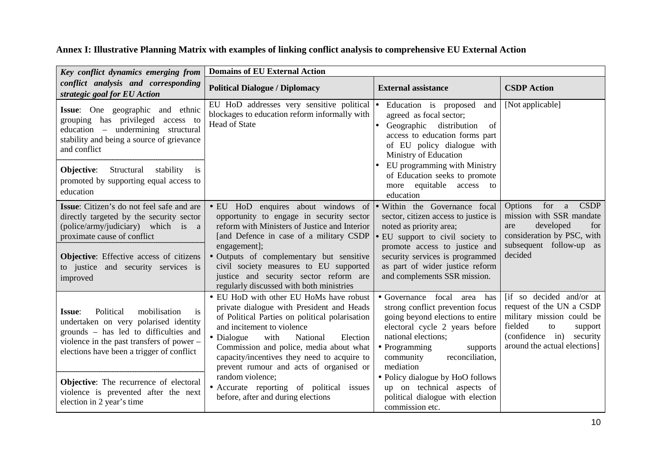**Annex I: Illustrative Planning Matrix with examples of linking conflict analysis to comprehensive EU External Action** 

| Key conflict dynamics emerging from                                                                                                                                                                                                                                      | <b>Domains of EU External Action</b>                                                                                                                                                                                                                                                                                                                                                                 |                                                                                                                                                                                                                                                                                                |                                                                                                                                                                           |
|--------------------------------------------------------------------------------------------------------------------------------------------------------------------------------------------------------------------------------------------------------------------------|------------------------------------------------------------------------------------------------------------------------------------------------------------------------------------------------------------------------------------------------------------------------------------------------------------------------------------------------------------------------------------------------------|------------------------------------------------------------------------------------------------------------------------------------------------------------------------------------------------------------------------------------------------------------------------------------------------|---------------------------------------------------------------------------------------------------------------------------------------------------------------------------|
| conflict analysis and corresponding<br>strategic goal for EU Action                                                                                                                                                                                                      | <b>Political Dialogue / Diplomacy</b>                                                                                                                                                                                                                                                                                                                                                                | <b>External assistance</b>                                                                                                                                                                                                                                                                     | <b>CSDP</b> Action                                                                                                                                                        |
| Issue: One geographic and ethnic<br>grouping has privileged access to<br>education – undermining structural<br>stability and being a source of grievance<br>and conflict<br>Objective:<br>Structural stability is<br>promoted by supporting equal access to<br>education | EU HoD addresses very sensitive political $\bullet$<br>blockages to education reform informally with<br><b>Head of State</b>                                                                                                                                                                                                                                                                         | Education is proposed<br>and<br>agreed as focal sector;<br>Geographic<br>distribution<br>of<br>access to education forms part<br>of EU policy dialogue with<br>Ministry of Education<br>EU programming with Ministry<br>of Education seeks to promote<br>more equitable access to<br>education | [Not applicable]                                                                                                                                                          |
| Issue: Citizen's do not feel safe and are<br>directly targeted by the security sector<br>(police/army/judiciary) which is a<br>proximate cause of conflict<br><b>Objective:</b> Effective access of citizens<br>to justice and security services is<br>improved          | • EU HoD enquires about windows of • Within the Governance focal<br>opportunity to engage in security sector<br>reform with Ministers of Justice and Interior<br>[and Defence in case of a military CSDP<br>engagement];<br>· Outputs of complementary but sensitive<br>civil society measures to EU supported<br>justice and security sector reform are<br>regularly discussed with both ministries | sector, citizen access to justice is<br>noted as priority area;<br>$\bullet$ EU support to civil society to<br>promote access to justice and<br>security services is programmed<br>as part of wider justice reform<br>and complements SSR mission.                                             | for a<br><b>CSDP</b><br>Options<br>mission with SSR mandate<br>developed<br>for<br>are<br>consideration by PSC, with<br>subsequent follow-up as<br>decided                |
| Political<br>mobilisation<br>is<br><b>Issue:</b><br>undertaken on very polarised identity<br>grounds - has led to difficulties and<br>violence in the past transfers of power -<br>elections have been a trigger of conflict                                             | • EU HoD with other EU HoMs have robust<br>private dialogue with President and Heads<br>of Political Parties on political polarisation<br>and incitement to violence<br>• Dialogue<br>with<br>National<br>Election<br>Commission and police, media about what<br>capacity/incentives they need to acquire to<br>prevent rumour and acts of organised or                                              | • Governance focal<br>area has<br>strong conflict prevention focus<br>going beyond elections to entire<br>electoral cycle 2 years before<br>national elections;<br>• Programming<br>supports<br>community<br>reconciliation,<br>mediation                                                      | [if so decided and/or at<br>request of the UN a CSDP<br>military mission could be<br>fielded<br>to<br>support<br>(confidence in) security<br>around the actual elections] |
| Objective: The recurrence of electoral<br>violence is prevented after the next<br>election in 2 year's time                                                                                                                                                              | random violence;<br>• Accurate reporting of political issues<br>before, after and during elections                                                                                                                                                                                                                                                                                                   | • Policy dialogue by HoO follows<br>up on technical aspects of<br>political dialogue with election<br>commission etc.                                                                                                                                                                          |                                                                                                                                                                           |